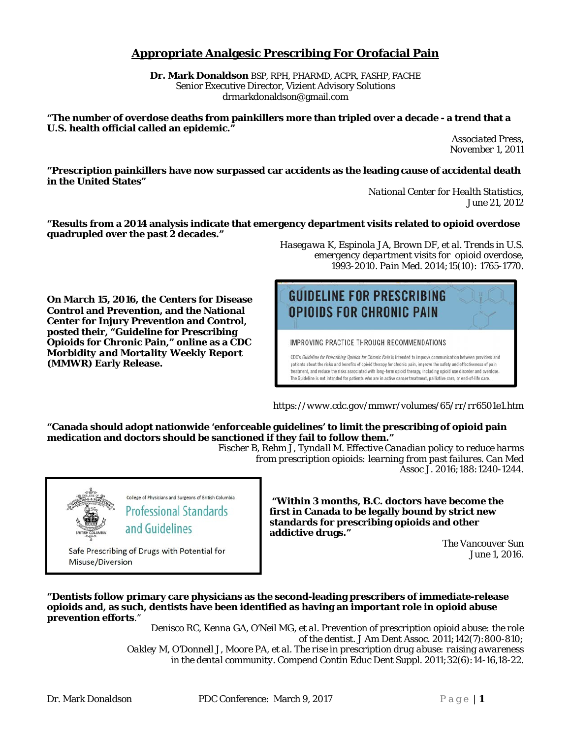## **Appropriate Analgesic Prescribing For Orofacial Pain**

**Dr. Mark Donaldson** BSP, RPH, PHARMD, ACPR, FASHP, FACHE Senior Executive Director, Vizient Advisory Solutions drmarkdonaldson@gmail.com

**"The number of overdose deaths from painkillers more than tripled over a decade - a trend that a U.S. health official called an epidemic."** 

> *Associated Press, November 1, 2011*

**"Prescription painkillers have now surpassed car accidents as the leading cause of accidental death in the United States"** 

*National Center for Health Statistics, June 21, 2012*

**"Results from a 2014 analysis indicate that emergency department visits related to opioid overdose quadrupled over the past 2 decades."** 

**On March 15, 2016, the Centers for Disease Control and Prevention, and the National Center for Injury Prevention and Control, posted their, "Guideline for Prescribing Opioids for Chronic Pain," online as a CDC**  *Morbidity and Mortality Weekly Report (***MMWR) Early Release.** 

> College of Physicians and Surgeons of British Columbia **Professional Standards**

and Guidelines

Safe Prescribing of Drugs with Potential for



*Hasegawa K, Espinola JA, Brown DF, et al. Trends in U.S.* 

IMPROVING PRACTICE THROUGH RECOMMENDATIONS

**OPIOIDS FOR CHRONIC PAIN** 

CDC's Guideline for Prescribing Opioids for Chronic Pain is intended to improve communication between providers and patients about the risks and benefits of opioid therapy for chronic pain, improve the safety and effectiveness of pain treatment, and reduce the risks associated with long-term opioid therapy, including opioid use disorder and overdose. The Guideline is not intended for patients who are in active cancer treatment, palliative care, or end-of-life care.

*https://www.cdc.gov/mmwr/volumes/65/rr/rr6501e1.htm* 

**"Canada should adopt nationwide 'enforceable guidelines' to limit the prescribing of opioid pain medication and doctors should be sanctioned if they fail to follow them."** 

*Fischer B, Rehm J, Tyndall M. Effective Canadian policy to reduce harms from prescription opioids: learning from past failures. Can Med Assoc J. 2016;188:1240-1244.*

> **"Within 3 months, B.C. doctors have become the first in Canada to be legally bound by strict new standards for prescribing opioids and other addictive drugs."**

> > *The Vancouver Sun June 1, 2016.*

**"Dentists follow primary care physicians as the second-leading prescribers of immediate-release opioids and, as such, dentists have been identified as having an important role in opioid abuse prevention efforts**."

> *Denisco RC, Kenna GA, O'Neil MG, et al. Prevention of prescription opioid abuse: the role of the dentist. J Am Dent Assoc. 2011;142(7):800-810; Oakley M, O'Donnell J, Moore PA, et al. The rise in prescription drug abuse: raising awareness in the dental community. Compend Contin Educ Dent Suppl. 2011;32(6):14-16,18-22.*

Misuse/Diversion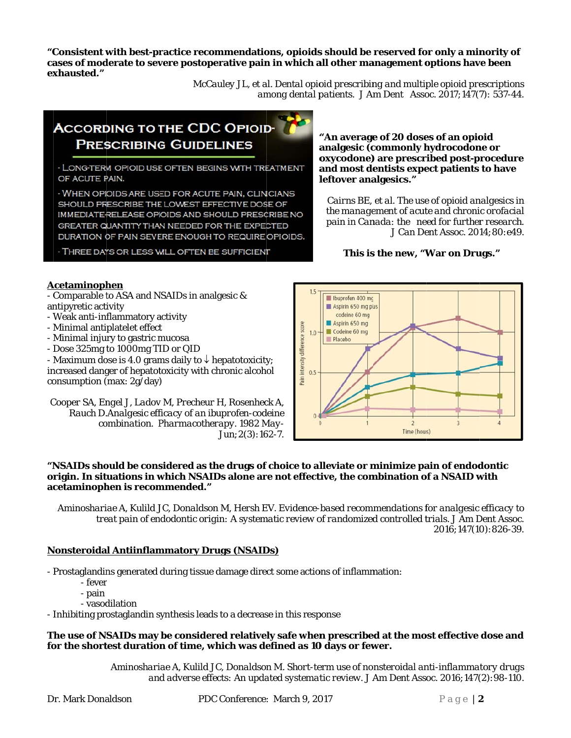"Consistent with best-practice recommendations, opioids should be reserved for only a minority of cases of moderate to severe postoperative pain in which all other management options have been exhausted."

> McCauley JL, et al. Dental opioid prescribing and multiple opioid prescriptions among dental patients. J Am Dent Assoc. 2017;147(7): 537-44.

# **ACCORDING TO THE CDC OPIOID-PRESCRIBING GUIDELINES**

- LONG-TERM OPIOID USE OFTEN BEGINS WITH TREATMENT OF ACUTE PAIN.

- WHEN OPIOIDS ARE USED FOR ACUTE PAIN, CLINICIANS SHOULD PRESCRIBE THE LOWEST EFFECTIVE DOSE OF IMMEDIATE-RELEASE OPIOIDS AND SHOULD PRESCRIBE NO GREATER QUANTITY THAN NEEDED FOR THE EXPECTED DURATION OF PAIN SEVERE ENOUGH TO REQUIRE OPIOIDS.

- THREE DAYS OR LESS WILL OFTEN BE SUFFICIENT

"An average of 20 doses of an opioid analgesic (commonly hydrocodone or oxycodone) are prescribed post-procedure and most dentists expect patients to have leftover analgesics."

Cairns BE, et al. The use of opioid analgesics in the management of acute and chronic orofacial pain in Canada: the need for further research. J Can Dent Assoc. 2014:80:e49.

This is the new, "War on Drugs."

#### Acetaminophen

- Comparable to ASA and NSAIDs in analgesic & antipyretic activity

- Weak anti-inflammatory activity
- Minimal antiplatelet effect
- Minimal injury to gastric mucosa
- Dose 325mg to 1000mg TID or QID

- Maximum dose is 4.0 grams daily to  $\downarrow$  hepatotoxicity; increased danger of hepatotoxicity with chronic alcohol consumption (max:  $2g/day$ )

Cooper SA, Engel J, Ladov M, Precheur H, Rosenheck A, Rauch D.Analgesic efficacy of an ibuprofen-codeine combination. Pharmacotherapy. 1982 May- $Jun:2(3):162-7.$ 



#### "NSAIDs should be considered as the drugs of choice to alleviate or minimize pain of endodontic origin. In situations in which NSAIDs alone are not effective, the combination of a NSAID with acetaminophen is recommended."

Aminoshariae A, Kulild JC, Donaldson M, Hersh EV. Evidence-based recommendations for analgesic efficacy to treat pain of endodontic origin: A systematic review of randomized controlled trials. J Am Dent Assoc. 2016:147(10):826-39.

### **Nonsteroidal Antiinflammatory Drugs (NSAIDs)**

- Prostaglandins generated during tissue damage direct some actions of inflammation:

- fever
- pain
- vasodilation

- Inhibiting prostaglandin synthesis leads to a decrease in this response

#### The use of NSAIDs may be considered relatively safe when prescribed at the most effective dose and for the shortest duration of time, which was defined as 10 days or fewer.

Aminoshariae A, Kulild JC, Donaldson M. Short-term use of nonsteroidal anti-inflammatory drugs and adverse effects: An updated systematic review. J Am Dent Assoc. 2016;147(2):98-110.

PDC Conference: March 9, 2017